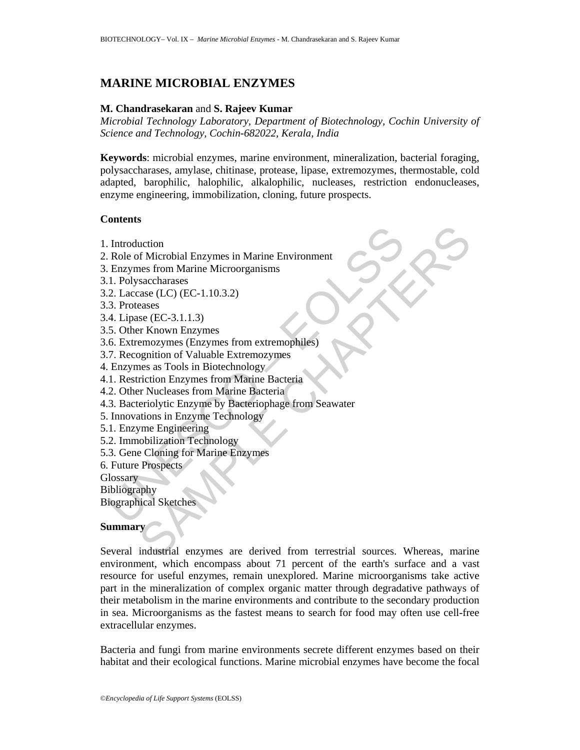# **MARINE MICROBIAL ENZYMES**

## **M. Chandrasekaran** and **S. Rajeev Kumar**

*Microbial Technology Laboratory, Department of Biotechnology, Cochin University of Science and Technology, Cochin-682022, Kerala, India* 

**Keywords**: microbial enzymes, marine environment, mineralization, bacterial foraging, polysaccharases, amylase, chitinase, protease, lipase, extremozymes, thermostable, cold adapted, barophilic, halophilic, alkalophilic, nucleases, restriction endonucleases, enzyme engineering, immobilization, cloning, future prospects.

## **Contents**

- 1. Introduction
- 2. Role of Microbial Enzymes in Marine Environment
- 3. Enzymes from Marine Microorganisms
- 3.1. Polysaccharases
- 3.2. Laccase (LC) (EC-1.10.3.2)
- 3.3. Proteases
- 3.4. Lipase (EC-3.1.1.3)
- 3.5. Other Known Enzymes
- 3.6. Extremozymes (Enzymes from extremophiles)
- 3.7. Recognition of Valuable Extremozymes
- 4. Enzymes as Tools in Biotechnology
- 4.1. Restriction Enzymes from Marine Bacteria
- 4.2. Other Nucleases from Marine Bacteria
- For Marine Environment<br>
Role of Microbial Enzymes in Marine Environment<br>
Enzymes from Marine Microorganisms<br>
1. Polysaccharases<br>
2. Laccase (LC) (EC-1.10.3.2)<br>
3. Proteases<br>
2. Laccase (EC-3.1.1.3)<br>
5. Other Known Enzymes<br> 4.3. Bacteriolytic Enzyme by Bacteriophage from Seawater
- 5. Innovations in Enzyme Technology
- 5.1. Enzyme Engineering
- 5.2. Immobilization Technology
- 5.3. Gene Cloning for Marine Enzymes
- 6. Future Prospects

**Glossary** 

- Bibliography
- Biographical Sketches

## **Summary**

uction<br>
of Microbial Enzymes in Marine Environment<br>
ens from Marine Microorganisms<br>
saccharases<br>
(LC) (EC-1.10.3.2)<br>
asacs (LC) (EC-1.10.3.2)<br>
asacs (LC) (EC-1.10.3.2)<br>
asacs<br>
se (EC-3.1.1.3)<br>
ens as Tools in Biotechnology Several industrial enzymes are derived from terrestrial sources. Whereas, marine environment, which encompass about 71 percent of the earth's surface and a vast resource for useful enzymes, remain unexplored. Marine microorganisms take active part in the mineralization of complex organic matter through degradative pathways of their metabolism in the marine environments and contribute to the secondary production in sea. Microorganisms as the fastest means to search for food may often use cell-free extracellular enzymes.

Bacteria and fungi from marine environments secrete different enzymes based on their habitat and their ecological functions. Marine microbial enzymes have become the focal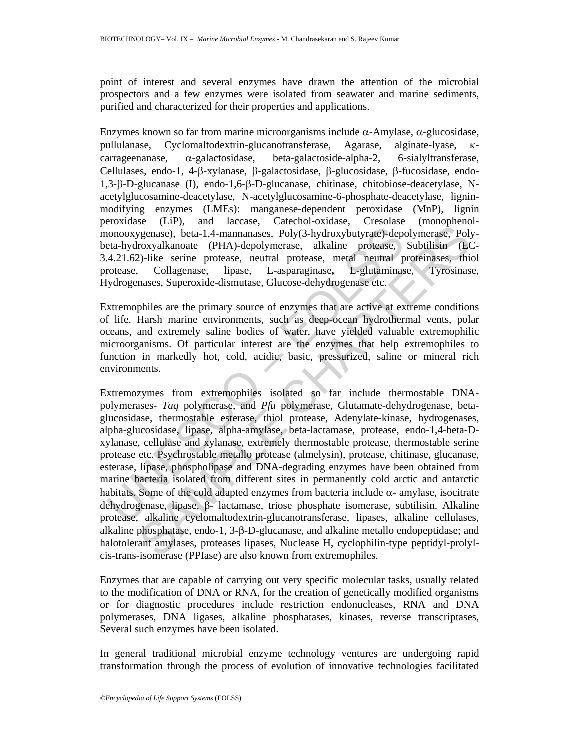point of interest and several enzymes have drawn the attention of the microbial prospectors and a few enzymes were isolated from seawater and marine sediments, purified and characterized for their properties and applications.

Enzymes known so far from marine microorganisms include α-Amylase, α-glucosidase, pullulanase, Cyclomaltodextrin-glucanotransferase, Agarase, alginate-lyase, κcarrageenanase, α-galactosidase, beta-galactoside-alpha-2, 6-sialyltransferase, Cellulases, endo-1, 4-β-xylanase, β-galactosidase, β-glucosidase, β-fucosidase, endo-1,3-β-D-glucanase (I), endo-1,6-β-D-glucanase, chitinase, chitobiose-deacetylase, Nacetylglucosamine-deacetylase, N-acetylglucosamine-6-phosphate-deacetylase, ligninmodifying enzymes (LMEs): manganese-dependent peroxidase (MnP), lignin peroxidase (LiP), and laccase, Catechol-oxidase, Cresolase (monophenolmonooxygenase), beta-1,4-mannanases, Poly(3-hydroxybutyrate)-depolymerase, Polybeta-hydroxyalkanoate (PHA)-depolymerase, alkaline protease, Subtilisin (EC-3.4.21.62)-like serine protease, neutral protease, metal neutral proteinases, thiol protease, Collagenase, lipase, L-asparaginase**,** L-glutaminase, Tyrosinase, Hydrogenases, Superoxide-dismutase, Glucose-dehydrogenase etc.

Extremophiles are the primary source of enzymes that are active at extreme conditions of life. Harsh marine environments, such as deep-ocean hydrothermal vents, polar oceans, and extremely saline bodies of water, have yielded valuable extremophilic microorganisms. Of particular interest are the enzymes that help extremophiles to function in markedly hot, cold, acidic, basic, pressurized, saline or mineral rich environments.

nonoxygenase), beta-1,4-mannanases, Poly(3-hydroxybutyrate)-depta-hydroxyalkanoate (PHA)-depolymerase, alkaline protease,  $4.21.62$ )-like serine protease, neutral protease, alkaline protease,  $1.421.62$ )-like serine prote Example matrimonics, examples and DNA-degrading enzymes have been contained the contained the contained process, nural process, nural process, nural process, nural process, nural process, nural process, nural process, nur Extremozymes from extremophiles isolated so far include thermostable DNApolymerases- *Taq* polymerase, and *Pfu* polymerase, Glutamate-dehydrogenase, betaglucosidase, thermostable esterase, thiol protease, Adenylate-kinase, hydrogenases, alpha-glucosidase, lipase, alpha-amylase, beta-lactamase, protease, endo-1,4-beta-Dxylanase, cellulase and xylanase, extremely thermostable protease, thermostable serine protease etc. Psychrostable metallo protease (almelysin), protease, chitinase, glucanase, esterase, lipase, phospholipase and DNA-degrading enzymes have been obtained from marine bacteria isolated from different sites in permanently cold arctic and antarctic habitats. Some of the cold adapted enzymes from bacteria include α- amylase*,* isocitrate dehydrogenase, lipase, β- lactamase, triose phosphate isomerase, subtilisin. Alkaline protease, alkaline cyclomaltodextrin-glucanotransferase, lipases, alkaline cellulases, alkaline phosphatase, endo-1, 3-β-D-glucanase, and alkaline metallo endopeptidase; and halotolerant amylases, proteases lipases, Nuclease H, cyclophilin-type peptidyl-prolylcis-trans-isomerase (PPIase) are also known from extremophiles.

Enzymes that are capable of carrying out very specific molecular tasks, usually related to the modification of DNA or RNA, for the creation of genetically modified organisms or for diagnostic procedures include restriction endonucleases, RNA and DNA polymerases, DNA ligases, alkaline phosphatases, kinases, reverse transcriptases, Several such enzymes have been isolated.

In general traditional microbial enzyme technology ventures are undergoing rapid transformation through the process of evolution of innovative technologies facilitated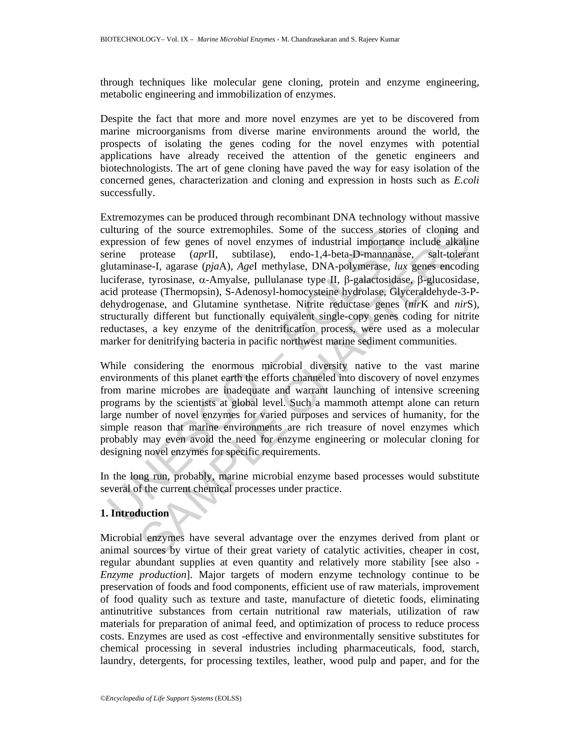through techniques like molecular gene cloning, protein and enzyme engineering, metabolic engineering and immobilization of enzymes.

Despite the fact that more and more novel enzymes are yet to be discovered from marine microorganisms from diverse marine environments around the world, the prospects of isolating the genes coding for the novel enzymes with potential applications have already received the attention of the genetic engineers and biotechnologists. The art of gene cloning have paved the way for easy isolation of the concerned genes, characterization and cloning and expression in hosts such as *E.coli* successfully.

alturing of the source extremophiles. Some of the success stories<br>repression of few genes of novel enzymes of industrial importance<br>reine-<br>prime protease (aprII, subtilase), endo-1,4-beta-D-mannanea<br>tutaminase-1, agarase of the source extremophiles. Some of the success stories of cloning an on of twe cents of nootel razymes of industrial importance include alkabin protease (*taprII*, subtilase), endo-1,4-beta-D-mannamase, salt-toleran ass Extremozymes can be produced through recombinant DNA technology without massive culturing of the source extremophiles. Some of the success stories of cloning and expression of few genes of novel enzymes of industrial importance include alkaline serine protease (*apr*II, subtilase), endo-1,4-beta-D-mannanase, salt-tolerant glutaminase-I, agarase (*pja*A), *Age*I methylase, DNA-polymerase, *lux* genes encoding luciferase, tyrosinase, α-Amyalse, pullulanase type II, β-galactosidase, β-glucosidase, acid protease (Thermopsin), S-Adenosyl-homocysteine hydrolase, Glyceraldehyde-3-Pdehydrogenase, and Glutamine synthetase. Nitrite reductase genes (*nir*K and *nir*S), structurally different but functionally equivalent single-copy genes coding for nitrite reductases, a key enzyme of the denitrification process, were used as a molecular marker for denitrifying bacteria in pacific northwest marine sediment communities.

While considering the enormous microbial diversity native to the vast marine environments of this planet earth the efforts channeled into discovery of novel enzymes from marine microbes are inadequate and warrant launching of intensive screening programs by the scientists at global level. Such a mammoth attempt alone can return large number of novel enzymes for varied purposes and services of humanity, for the simple reason that marine environments are rich treasure of novel enzymes which probably may even avoid the need for enzyme engineering or molecular cloning for designing novel enzymes for specific requirements.

In the long run, probably, marine microbial enzyme based processes would substitute several of the current chemical processes under practice.

## **1. Introduction**

Microbial enzymes have several advantage over the enzymes derived from plant or animal sources by virtue of their great variety of catalytic activities, cheaper in cost, regular abundant supplies at even quantity and relatively more stability [see also - *Enzyme production*]. Major targets of modern enzyme technology continue to be preservation of foods and food components, efficient use of raw materials, improvement of food quality such as texture and taste, manufacture of dietetic foods, eliminating antinutritive substances from certain nutritional raw materials, utilization of raw materials for preparation of animal feed, and optimization of process to reduce process costs. Enzymes are used as cost -effective and environmentally sensitive substitutes for chemical processing in several industries including pharmaceuticals, food, starch, laundry, detergents, for processing textiles, leather, wood pulp and paper, and for the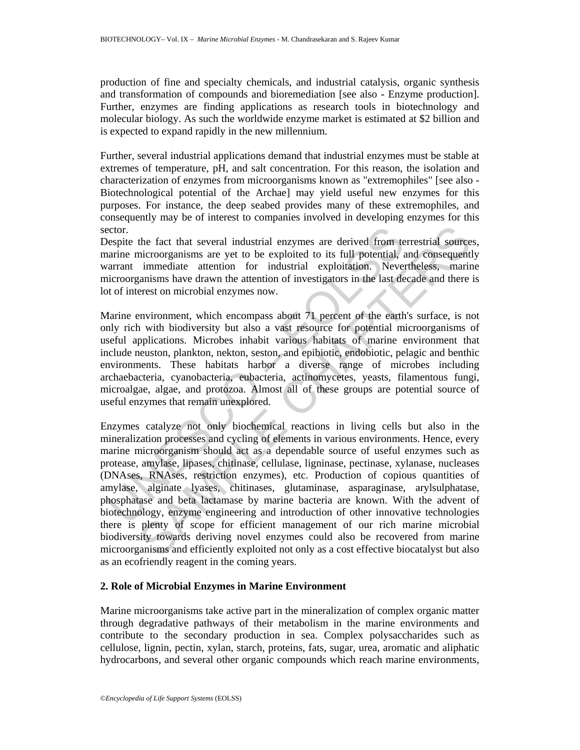production of fine and specialty chemicals, and industrial catalysis, organic synthesis and transformation of compounds and bioremediation [see also - Enzyme production]. Further, enzymes are finding applications as research tools in biotechnology and molecular biology. As such the worldwide enzyme market is estimated at \$2 billion and is expected to expand rapidly in the new millennium.

Further, several industrial applications demand that industrial enzymes must be stable at extremes of temperature, pH, and salt concentration. For this reason, the isolation and characterization of enzymes from microorganisms known as "extremophiles" [see also - Biotechnological potential of the Archae] may yield useful new enzymes for this purposes. For instance, the deep seabed provides many of these extremophiles, and consequently may be of interest to companies involved in developing enzymes for this sector.

Despite the fact that several industrial enzymes are derived from terrestrial sources, marine microorganisms are yet to be exploited to its full potential, and consequently warrant immediate attention for industrial exploitation. Nevertheless, marine microorganisms have drawn the attention of investigators in the last decade and there is lot of interest on microbial enzymes now.

Marine environment, which encompass about 71 percent of the earth's surface, is not only rich with biodiversity but also a vast resource for potential microorganisms of useful applications. Microbes inhabit various habitats of marine environment that include neuston, plankton, nekton, seston, and epibiotic, endobiotic, pelagic and benthic environments. These habitats harbor a diverse range of microbes including archaebacteria, cyanobacteria, eubacteria, actinomycetes, yeasts, filamentous fungi, microalgae, algae, and protozoa. Almost all of these groups are potential source of useful enzymes that remain unexplored.

ector.<br>ector.<br>ectories the fact that several industrial enzymes are derived from test<br>anarine microorganisms are yet to be exploited to its full potential,<br>ararant immediate attention for industrial exploitation. Never<br>eic the fact that several industrial enzymes are derived from terrestrial source<br>incroorganisms are yet to be exploited to its full potential, and consequent<br>immediate attention for industrial exploitation. Nevertheless, marin Enzymes catalyze not only biochemical reactions in living cells but also in the mineralization processes and cycling of elements in various environments. Hence, every marine microorganism should act as a dependable source of useful enzymes such as protease, amylase, lipases, chitinase, cellulase, ligninase, pectinase, xylanase, nucleases (DNAses, RNAses, restriction enzymes), etc. Production of copious quantities of amylase, alginate lyases, chitinases, glutaminase, asparaginase, arylsulphatase, phosphatase and beta lactamase by marine bacteria are known. With the advent of biotechnology, enzyme engineering and introduction of other innovative technologies there is plenty of scope for efficient management of our rich marine microbial biodiversity towards deriving novel enzymes could also be recovered from marine microorganisms and efficiently exploited not only as a cost effective biocatalyst but also as an ecofriendly reagent in the coming years.

## **2. Role of Microbial Enzymes in Marine Environment**

Marine microorganisms take active part in the mineralization of complex organic matter through degradative pathways of their metabolism in the marine environments and contribute to the secondary production in sea. Complex polysaccharides such as cellulose, lignin, pectin, xylan, starch, proteins, fats, sugar, urea, aromatic and aliphatic hydrocarbons, and several other organic compounds which reach marine environments,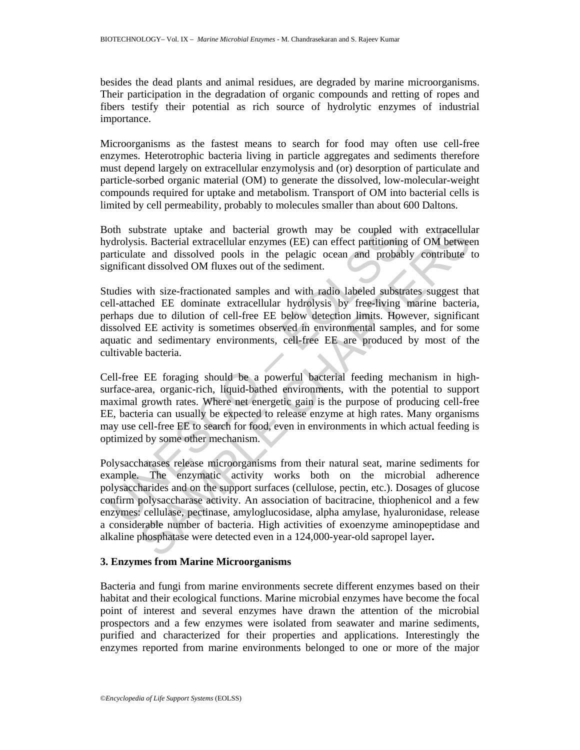besides the dead plants and animal residues, are degraded by marine microorganisms. Their participation in the degradation of organic compounds and retting of ropes and fibers testify their potential as rich source of hydrolytic enzymes of industrial importance.

Microorganisms as the fastest means to search for food may often use cell-free enzymes. Heterotrophic bacteria living in particle aggregates and sediments therefore must depend largely on extracellular enzymolysis and (or) desorption of particulate and particle-sorbed organic material (OM) to generate the dissolved, low-molecular-weight compounds required for uptake and metabolism. Transport of OM into bacterial cells is limited by cell permeability, probably to molecules smaller than about 600 Daltons.

Both substrate uptake and bacterial growth may be coupled with extracellular hydrolysis. Bacterial extracellular enzymes (EE) can effect partitioning of OM between particulate and dissolved pools in the pelagic ocean and probably contribute to significant dissolved OM fluxes out of the sediment.

oth substrate uptake and bacterial growth may be coupled w<br>pdrolysis. Bacterial extracellular enzymes (EE) can effect partitioning<br>arriculate and dissolved pools in the pelagic ocean and probab<br>gnificant dissolved OM fluxe Studies with size-fractionated samples and with radio labeled substrates suggest that cell-attached EE dominate extracellular hydrolysis by free-living marine bacteria, perhaps due to dilution of cell-free EE below detection limits. However, significant dissolved EE activity is sometimes observed in environmental samples, and for some aquatic and sedimentary environments, cell-free EE are produced by most of the cultivable bacteria.

Cell-free EE foraging should be a powerful bacterial feeding mechanism in highsurface-area, organic-rich, liquid-bathed environments, with the potential to support maximal growth rates. Where net energetic gain is the purpose of producing cell-free EE, bacteria can usually be expected to release enzyme at high rates. Many organisms may use cell-free EE to search for food, even in environments in which actual feeding is optimized by some other mechanism.

bstrate uptake and bacterial growth may be coupled with extracellula<br>is. Bacterial extracellular carzynes (EE) can effect partitioning of OM betwee<br>the and dissolved pools in the pelagic ocean and probably contribute t<br>at Polysaccharases release microorganisms from their natural seat, marine sediments for example. The enzymatic activity works both on the microbial adherence polysaccharides and on the support surfaces (cellulose, pectin, etc.). Dosages of glucose confirm polysaccharase activity. An association of bacitracine, thiophenicol and a few enzymes: cellulase, pectinase, amyloglucosidase, alpha amylase, hyaluronidase, release a considerable number of bacteria. High activities of exoenzyme aminopeptidase and alkaline phosphatase were detected even in a 124,000-year-old sapropel layer**.** 

#### **3. Enzymes from Marine Microorganisms**

Bacteria and fungi from marine environments secrete different enzymes based on their habitat and their ecological functions. Marine microbial enzymes have become the focal point of interest and several enzymes have drawn the attention of the microbial prospectors and a few enzymes were isolated from seawater and marine sediments, purified and characterized for their properties and applications. Interestingly the enzymes reported from marine environments belonged to one or more of the major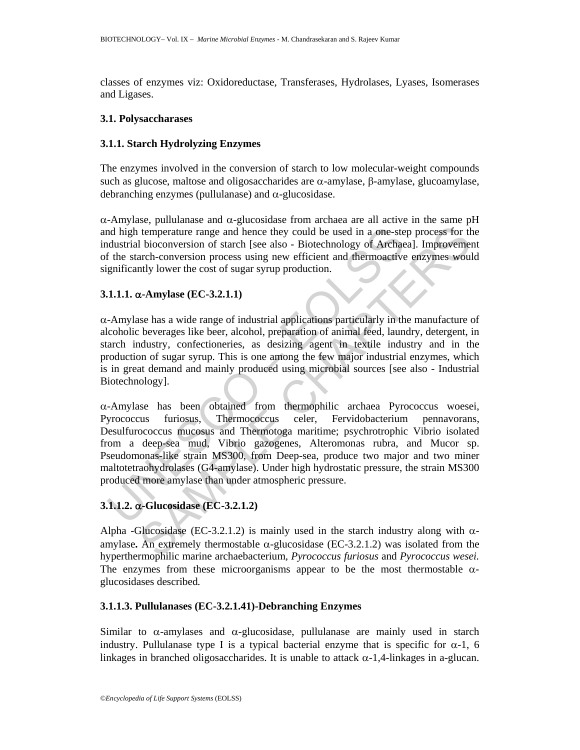classes of enzymes viz: Oxidoreductase, Transferases, Hydrolases, Lyases, Isomerases and Ligases.

#### **3.1. Polysaccharases**

## **3.1.1. Starch Hydrolyzing Enzymes**

The enzymes involved in the conversion of starch to low molecular-weight compounds such as glucose, maltose and oligosaccharides are  $\alpha$ -amylase, β-amylase, glucoamylase, debranching enzymes (pullulanase) and  $\alpha$ -glucosidase.

α-Amylase, pullulanase and α-glucosidase from archaea are all active in the same pH and high temperature range and hence they could be used in a one-step process for the industrial bioconversion of starch [see also - Biotechnology of Archaea]. Improvement of the starch-conversion process using new efficient and thermoactive enzymes would significantly lower the cost of sugar syrup production.

## **3.1.1.1.** α**-Amylase (EC-3.2.1.1)**

α-Amylase has a wide range of industrial applications particularly in the manufacture of alcoholic beverages like beer, alcohol, preparation of animal feed, laundry, detergent, in starch industry, confectioneries, as desizing agent in textile industry and in the production of sugar syrup. This is one among the few major industrial enzymes, which is in great demand and mainly produced using microbial sources [see also - Industrial Biotechnology].

and high temperature range and hence they could be used in a one-sted and high temperature range and hence they could be used in a one-sted and the starch-conversion process using new efficient and thermoactive gnificantl temperature range and hence they could be used in a one-step process for the bioconversion of starch [see also - Biotechnology of Archaca]. Improvement-conversion process using new efficient and thermoactive enzymes would α-Amylase has been obtained from thermophilic archaea Pyrococcus woesei, Pyrococcus furiosus, Thermococcus celer, Fervidobacterium pennavorans, Desulfurococcus mucosus and Thermotoga maritime; psychrotrophic Vibrio isolated from a deep-sea mud, Vibrio gazogenes, Alteromonas rubra, and Mucor sp. Pseudomonas-like strain MS300, from Deep-sea, produce two major and two miner maltotetraohydrolases (G4-amylase). Under high hydrostatic pressure, the strain MS300 produced more amylase than under atmospheric pressure.

## **3.1.1.2.** α**-Glucosidase (EC-3.2.1.2)**

Alpha -Glucosidase (EC-3.2.1.2) is mainly used in the starch industry along with  $\alpha$ amylase. An extremely thermostable  $\alpha$ -glucosidase (EC-3.2.1.2) was isolated from the hyperthermophilic marine archaebacterium*, Pyrococcus furiosus* and *Pyrococcus wesei.*  The enzymes from these microorganisms appear to be the most thermostable  $\alpha$ glucosidases described*.* 

## **3.1.1.3. Pullulanases (EC-3.2.1.41)-Debranching Enzymes**

Similar to  $\alpha$ -amylases and  $\alpha$ -glucosidase, pullulanase are mainly used in starch industry. Pullulanase type I is a typical bacterial enzyme that is specific for  $\alpha$ -1, 6 linkages in branched oligosaccharides. It is unable to attack  $\alpha$ -1,4-linkages in a-glucan.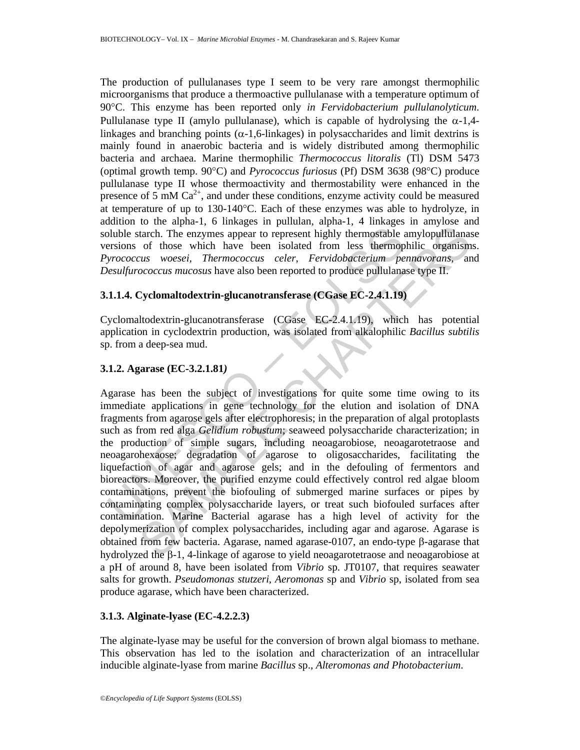The production of pullulanases type I seem to be very rare amongst thermophilic microorganisms that produce a thermoactive pullulanase with a temperature optimum of 90°C. This enzyme has been reported only *in Fervidobacterium pullulanolyticum.*  Pullulanase type II (amylo pullulanase), which is capable of hydrolysing the  $\alpha$ -1,4linkages and branching points  $(\alpha-1, 6$ -linkages) in polysaccharides and limit dextrins is mainly found in anaerobic bacteria and is widely distributed among thermophilic bacteria and archaea. Marine thermophilic *Thermococcus litoralis* (Tl) DSM 5473 (optimal growth temp. 90°C) and *Pyrococcus furiosus* (Pf) DSM 3638 (98°C) produce pullulanase type II whose thermoactivity and thermostability were enhanced in the presence of 5 mM  $Ca^{2+}$ , and under these conditions, enzyme activity could be measured at temperature of up to 130-140°C. Each of these enzymes was able to hydrolyze, in addition to the alpha-1, 6 linkages in pullulan, alpha-1, 4 linkages in amylose and soluble starch. The enzymes appear to represent highly thermostable amylopullulanase versions of those which have been isolated from less thermophilic organisms. *Pyrococcus woesei, Thermococcus celer*, *Fervidobacterium pennavorans*, and *Desulfurococcus mucosus* have also been reported to produce pullulanase type II.

## **3.1.1.4. Cyclomaltodextrin-glucanotransferase (CGase EC-2.4.1.19)**

Cyclomaltodextrin-glucanotransferase (CGase EC-2.4.1.19), which has potential application in cyclodextrin production, was isolated from alkalophilic *Bacillus subtilis* sp. from a deep-sea mud.

## **3.1.2. Agarase (EC-3.2.1.81***)*

bluble starch. The enzymes appear to represent highly thermostable ersions of those which have been isolated from less thermop *yrococcus woesei*, *Thermococcus celer*, *Fervidobacterium pe* esulfurococcus mucosus have For the unity of minimal is the many one and an exploration. The enzymes appear to represent highly thermostable amylopullulanes of those which have been isolated from less thermophilic organism of those with have been is Agarase has been the subject of investigations for quite some time owing to its immediate applications in gene technology for the elution and isolation of DNA fragments from agarose gels after electrophoresis; in the preparation of algal protoplasts such as from red alga *Gelidium robustum*; seaweed polysaccharide characterization; in the production of simple sugars, including neoagarobiose, neoagarotetraose and neoagarohexaose; degradation of agarose to oligosaccharides, facilitating the liquefaction of agar and agarose gels; and in the defouling of fermentors and bioreactors. Moreover, the purified enzyme could effectively control red algae bloom contaminations, prevent the biofouling of submerged marine surfaces or pipes by contaminating complex polysaccharide layers, or treat such biofouled surfaces after contamination. Marine Bacterial agarase has a high level of activity for the depolymerization of complex polysaccharides, including agar and agarose. Agarase is obtained from few bacteria. Agarase, named agarase-0107, an endo-type β-agarase that hydrolyzed the β-1, 4-linkage of agarose to yield neoagarotetraose and neoagarobiose at a pH of around 8, have been isolated from *Vibrio* sp. JT0107, that requires seawater salts for growth. *Pseudomonas stutzeri*, *Aeromonas* sp and *Vibrio* sp, isolated from sea produce agarase, which have been characterized.

## **3.1.3. Alginate-lyase (EC-4.2.2.3)**

The alginate-lyase may be useful for the conversion of brown algal biomass to methane. This observation has led to the isolation and characterization of an intracellular inducible alginate-lyase from marine *Bacillus* sp., *Alteromonas and Photobacterium*.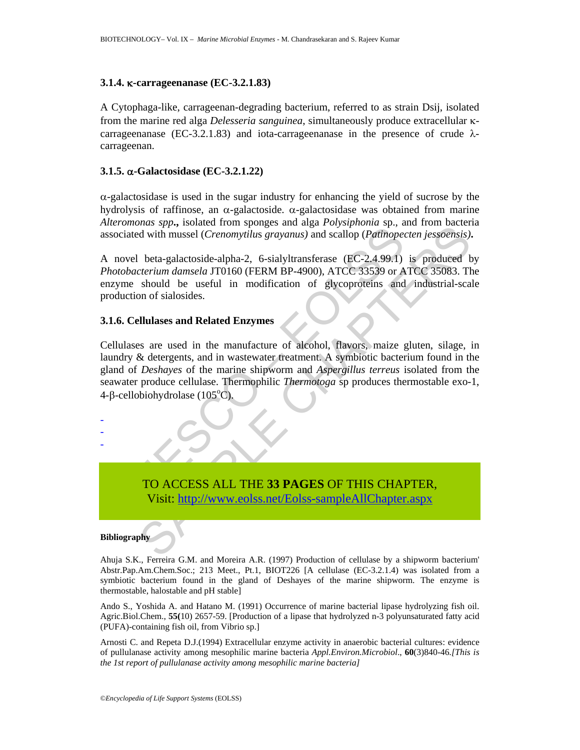### **3.1.4.** κ**-carrageenanase (EC-3.2.1.83)**

A Cytophaga-like, carrageenan-degrading bacterium, referred to as strain Dsij, isolated from the marine red alga *Delesseria sanguinea*, simultaneously produce extracellular κcarrageenanase (EC-3.2.1.83) and iota-carrageenanase in the presence of crude  $\lambda$ carrageenan.

### **3.1.5.** α**-Galactosidase (EC-3.2.1.22)**

 $\alpha$ -galactosidase is used in the sugar industry for enhancing the yield of sucrose by the hydrolysis of raffinose, an α-galactoside. α-galactosidase was obtained from marine *Alteromonas spp***.,** isolated from sponges and alga *Polysiphonia* sp., and from bacteria associated with mussel (*Crenomytilu*s *grayanus)* and scallop (*Patinopecten jessoensis)***.** 

A novel beta-galactoside-alpha-2, 6-sialyltransferase (EC-2.4.99.1) is produced by *Photobacterium damsela* JT0160 (FERM BP-4900), ATCC 33539 or ATCC 35083. The enzyme should be useful in modification of glycoproteins and industrial-scale production of sialosides.

#### **3.1.6. Cellulases and Related Enzymes**

Sociated with mussel (*Crenomytilus grayanus*) and scallop (*Pattinoped*<br>
novel beta-galactoside-alpha-2, 6-sialyltransferase (EC-2,4.99.1)<br>
hotobacterium damsela JT0160 (FERM BP-4900), ATCC 3339 or A<br>
hotobacterium damsel Many, sistance in the manufacture of alcohol, flavors, and then used the matter design at a seal of the metal<br>divith musel (Crenomythus grayanus) and scallop (Pathopecten jespoensis).<br>beta-galactoside-alpha-2, 6-sialyltran Cellulases are used in the manufacture of alcohol, flavors, maize gluten, silage, in laundry & detergents, and in wastewater treatment. A symbiotic bacterium found in the gland of *Deshayes* of the marine shipworm and *Aspergillus terreus* isolated from the seawater produce cellulase. Thermophilic *Thermotoga* sp produces thermostable exo-1, 4-β-cellobiohydrolase (105<sup>o</sup>C).



#### **Bibliography**

- - -

Ahuja S.K., Ferreira G.M. and Moreira A.R. (1997) Production of cellulase by a shipworm bacterium' Abstr.Pap.Am.Chem.Soc.; 213 Meet., Pt.1, BIOT226 [A cellulase (EC-3.2.1.4) was isolated from a symbiotic bacterium found in the gland of Deshayes of the marine shipworm. The enzyme is thermostable, halostable and pH stable]

Ando S., Yoshida A. and Hatano M. (1991) Occurrence of marine bacterial lipase hydrolyzing fish oil. Agric.Biol.Chem., **55(**10) 2657-59. [Production of a lipase that hydrolyzed n-3 polyunsaturated fatty acid (PUFA)-containing fish oil, from Vibrio sp.]

Arnosti C. and Repeta D.J.(1994) Extracellular enzyme activity in anaerobic bacterial cultures: evidence of pullulanase activity among mesophilic marine bacteria *Appl.Environ.Microbiol*., **60**(3)840-46*.[This is the 1st report of pullulanase activity among mesophilic marine bacteria]*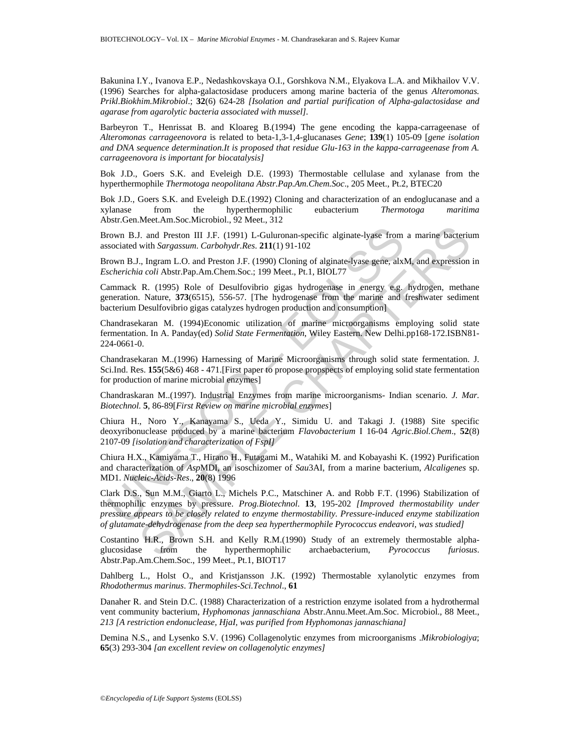Bakunina I.Y., Ivanova E.P., Nedashkovskaya O.I., Gorshkova N.M., Elyakova L.A. and Mikhailov V.V. (1996) Searches for alpha-galactosidase producers among marine bacteria of the genus *Alteromonas. Prikl.Biokhim.Mikrobiol*.; **32**(6) 624-28 *[Isolation and partial purification of Alpha-galactosidase and agarase from agarolytic bacteria associated with mussel].* 

Barbeyron T., Henrissat B. and Kloareg B.(1994) The gene encoding the kappa-carrageenase of *Alteromonas carrageenovora* is related to beta-1,3-1,4-glucanases *Gene*; **139**(1) 105-09 [*gene isolation and DNA sequence determination.It is proposed that residue Glu-163 in the kappa-carrageenase from A. carrageenovora is important for biocatalysis]* 

Bok J.D., Goers S.K. and Eveleigh D.E. (1993) Thermostable cellulase and xylanase from the hyperthermophile *Thermotoga neopolitana Abstr.Pap.Am.Chem.Soc*., 205 Meet., Pt.2, BTEC20

Bok J.D., Goers S.K. and Eveleigh D.E.(1992) Cloning and characterization of an endoglucanase and a xylanase from the hyperthermophilic eubacterium *Thermotoga maritima*  Abstr.Gen.Meet.Am.Soc.Microbiol., 92 Meet., 312

Brown B.J. and Preston III J.F. (1991) L-Guluronan-specific alginate-lyase from a marine bacterium associated with *Sargassum*. *Carbohydr.Res*. **211**(1) 91-102

Brown B.J., Ingram L.O. and Preston J.F. (1990) Cloning of alginate-lyase gene, alxM, and expression in *Escherichia coli* Abstr.Pap.Am.Chem.Soc.; 199 Meet., Pt.1, BIOL77

Cammack R. (1995) Role of Desulfovibrio gigas hydrogenase in energy e.g. hydrogen, methane generation. Nature, **373**(6515), 556-57. [The hydrogenase from the marine and freshwater sediment bacterium Desulfovibrio gigas catalyzes hydrogen production and consumption]

Chandrasekaran M. (1994)Economic utilization of marine microorganisms employing solid state fermentation. In A. Panday(ed) *Solid State Fermentation*, Wiley Eastern. New Delhi.pp168-172.ISBN81- 224-0661-0.

Chandrasekaran M..(1996) Harnessing of Marine Microorganisms through solid state fermentation. J. Sci.Ind. Res. **155**(5&6) 468 - 471.[First paper to propose propspects of employing solid state fermentation for production of marine microbial enzymes]

Chandraskaran M..(1997). Industrial Enzymes from marine microorganisms- Indian scenario*. J. Mar. Biotechnol.* **5**, 86-89[*First Review on marine microbial enzymes*]

Chiura H., Noro Y., Kanayama S., Ueda Y., Simidu U. and Takagi J. (1988) Site specific deoxyribonuclease produced by a marine bacterium *Flavobacterium* I 16-04 *Agric.Biol.Chem*., **52**(8) 2107-09 *[isolation and characterization of FspI]* 

Chiura H.X., Kamiyama T., Hirano H., Futagami M., Watahiki M. and Kobayashi K. (1992) Purification and characterization of *Asp*MDI, an isoschizomer of *Sau*3AI, from a marine bacterium, *Alcaligenes* sp. MD1. *Nucleic-Acids-Res*., **20**(8) 1996

rown B.J. and Preston III J.F. (1991) L-Guluronan-specific alginate-lyses from<br>sociated with *Sargassum. Carbohydr.Res.* 211(1) 91-102<br>rown B.J., Ingram L.O. and Preston J.F. (1990) Cloning of alginate-lyase gene, alx<br>cher I. and Preston III J.F. (1991) L.-Guluronan-specific alginate-lyase from a marine bacteriu<br>with *Sargassum. Carbohydr.Res.* 211(1) 91-102<br>v. Ingram L.O. and Preston J.F. (1990) Cloning of alginate-lyase gene, alxM, and ex Clark D.S., Sun M.M., Giarto L., Michels P.C., Matschiner A. and Robb F.T. (1996) Stabilization of thermophilic enzymes by pressure. *Prog.Biotechnol*. **13**, 195-202 *[Improved thermostability under pressure appears to be closely related to enzyme thermostability. Pressure-induced enzyme stabilization of glutamate-dehydrogenase from the deep sea hyperthermophile Pyrococcus endeavori, was studied]* 

Costantino H.R., Brown S.H. and Kelly R.M.(1990) Study of an extremely thermostable alphaglucosidase from the hyperthermophilic archaebacterium, *Pyrococcus furiosus*. Abstr.Pap.Am.Chem.Soc., 199 Meet., Pt.1, BIOT17

Dahlberg L., Holst O., and Kristjansson J.K. (1992) Thermostable xylanolytic enzymes from *Rhodothermus marinus*. *Thermophiles-Sci.Technol*., **61**

Danaher R. and Stein D.C. (1988) Characterization of a restriction enzyme isolated from a hydrothermal vent community bacterium, *Hyphomonas jannaschiana* Abstr.Annu.Meet.Am.Soc. Microbiol., 88 Meet., *213 [A restriction endonuclease, HjaI, was purified from Hyphomonas jannaschiana]* 

Demina N.S., and Lysenko S.V. (1996) Collagenolytic enzymes from microorganisms .*Mikrobiologiya*; **65**(3) 293-304 *[an excellent review on collagenolytic enzymes]*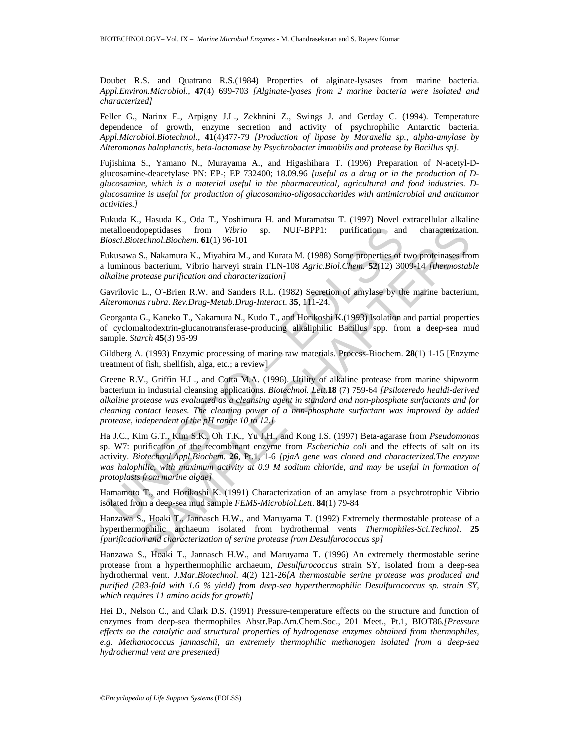Doubet R.S. and Quatrano R.S.(1984) Properties of alginate-lysases from marine bacteria. *Appl.Environ.Microbiol*., **47**(4) 699-703 *[Alginate-lyases from 2 marine bacteria were isolated and characterized]* 

Feller G., Narinx E., Arpigny J.L., Zekhnini Z., Swings J. and Gerday C. (1994). Temperature dependence of growth, enzyme secretion and activity of psychrophilic Antarctic bacteria. *Appl.Microbiol.Biotechnol*., **41**(4)477-79 *[Production of lipase by Moraxella sp., alpha-amylase by Alteromonas haloplanctis, beta-lactamase by Psychrobacter immobilis and protease by Bacillus sp].* 

Fujishima S., Yamano N., Murayama A., and Higashihara T. (1996) Preparation of N-acetyl-Dglucosamine-deacetylase PN: EP-; EP 732400; 18.09.96 *[useful as a drug or in the production of Dglucosamine, which is a material useful in the pharmaceutical, agricultural and food industries. Dglucosamine is useful for production of glucosamino-oligosaccharides with antimicrobial and antitumor activities.]* 

Fukuda K., Hasuda K., Oda T., Yoshimura H. and Muramatsu T. (1997) Novel extracellular alkaline metalloendopeptidases from *Vibrio* sp. NUF-BPP1: purification and characterization. *Biosci.Biotechnol.Biochem*. **61**(1) 96-101

Fukusawa S., Nakamura K., Miyahira M., and Kurata M. (1988) Some properties of two proteinases from a luminous bacterium, Vibrio harveyi strain FLN-108 *Agric.Biol.Chem*. **52**(12) 3009-14 *[thermostable alkaline protease purification and characterization]* 

Gavrilovic L., O'-Brien R.W. and Sanders R.L. (1982) Secretion of amylase by the marine bacterium, *Alteromonas rubra*. *Rev.Drug-Metab.Drug-Interact*. **35**, 111-24.

Georganta G., Kaneko T., Nakamura N., Kudo T., and Horikoshi K.(1993) Isolation and partial properties of cyclomaltodextrin-glucanotransferase-producing alkaliphilic Bacillus spp. from a deep-sea mud sample. *Starch* **45**(3) 95-99

Gildberg A. (1993) Enzymic processing of marine raw materials. Process-Biochem. **28**(1) 1-15 [Enzyme treatment of fish, shellfish, alga, etc.; a review]

etalloendopeptidases from *Vibrio* sp. NUF-BPP1: purification and<br>iosci.Biotechnol.Biochem. **61**(1) 96-101<br>akussawa S., Nakamura K., Miyahira M., and Kurata M. (1988) Some properties of luminous bacterium, Vibrio harveyi s lopeptidases from *Vibrio* sp. NUF-BPP1: purification and characterizatio<br>
echood.Biochem. **G**(1) 96-101<br>
S. Nakamura K., Niyahira M., and Kurata M. (1988) Some properties of two proteinases fro<br>
between purification and Greene R.V., Griffin H.L., and Cotta M.A. (1996). Utility of alkaline protease from marine shipworm bacterium in industrial cleansing applications. *Biotechnol. Lett*.**18** (7) 759-64 *[Psiloteredo healdi-derived alkaline protease was evaluated as a cleansing agent in standard and non-phosphate surfactants and for cleaning contact lenses. The cleaning power of a non-phosphate surfactant was improved by added protease, independent of the pH range 10 to 12.]* 

Ha J.C., Kim G.T., Kim S.K., Oh T.K., Yu J.H., and Kong I.S. (1997) Beta-agarase from *Pseudomonas*  sp. W7: purification of the recombinant enzyme from *Escherichia coli* and the effects of salt on its activity. *Biotechnol.Appl.Biochem*. **26**, Pt.1, 1-6 *[pjaA gene was cloned and characterized.The enzyme*  was halophilic, with maximum activity at 0.9 M sodium chloride, and may be useful in formation of *protoplasts from marine algae]* 

Hamamoto T., and Horikoshi K. (1991) Characterization of an amylase from a psychrotrophic Vibrio isolated from a deep-sea mud sample *FEMS-Microbiol.Lett*. **84**(1) 79-84

Hanzawa S., Hoaki T., Jannasch H.W., and Maruyama T. (1992) Extremely thermostable protease of a hyperthermophilic archaeum isolated from hydrothermal vents *Thermophiles-Sci.Technol*. **25** *[purification and characterization of serine protease from Desulfurococcus sp]* 

Hanzawa S., Hoaki T., Jannasch H.W., and Maruyama T. (1996) An extremely thermostable serine protease from a hyperthermophilic archaeum, *Desulfurococcus* strain SY, isolated from a deep-sea hydrothermal vent. *J.Mar.Biotechnol*. **4**(2) 121-26*[A thermostable serine protease was produced and purified (283-fold with 1.6 % yield) from deep-sea hyperthermophilic Desulfurococcus sp. strain SY, which requires 11 amino acids for growth]* 

Hei D., Nelson C., and Clark D.S. (1991) Pressure-temperature effects on the structure and function of enzymes from deep-sea thermophiles Abstr.Pap.Am.Chem.Soc., 201 Meet., Pt.1, BIOT86*.[Pressure effects on the catalytic and structural properties of hydrogenase enzymes obtained from thermophiles, e.g. Methanococcus jannaschii, an extremely thermophilic methanogen isolated from a deep-sea hydrothermal vent are presented]*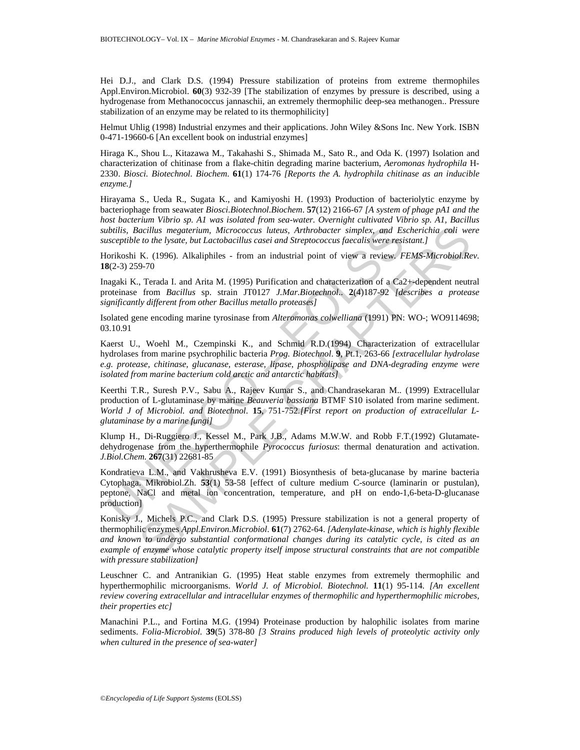Hei D.J., and Clark D.S. (1994) Pressure stabilization of proteins from extreme thermophiles Appl.Environ.Microbiol. **60**(3) 932-39 [The stabilization of enzymes by pressure is described, using a hydrogenase from Methanococcus jannaschii, an extremely thermophilic deep-sea methanogen.. Pressure stabilization of an enzyme may be related to its thermophilicity]

Helmut Uhlig (1998) Industrial enzymes and their applications. John Wiley &Sons Inc. New York. ISBN 0-471-19660-6 [An excellent book on industrial enzymes]

Hiraga K., Shou L., Kitazawa M., Takahashi S., Shimada M., Sato R., and Oda K. (1997) Isolation and characterization of chitinase from a flake-chitin degrading marine bacterium, *Aeromonas hydrophila* H-2330. *Biosci. Biotechnol. Biochem*. **61**(1) 174-76 *[Reports the A. hydrophila chitinase as an inducible enzyme.]* 

Hirayama S., Ueda R., Sugata K., and Kamiyoshi H. (1993) Production of bacteriolytic enzyme by bacteriophage from seawater *Biosci.Biotechnol.Biochem*. **57**(12) 2166-67 *[A system of phage pA1 and the host bacterium Vibrio sp. A1 was isolated from sea-water. Overnight cultivated Vibrio sp. A1, Bacillus subtilis, Bacillus megaterium, Micrococcus luteus, Arthrobacter simplex, and Escherichia coli were susceptible to the lysate, but Lactobacillus casei and Streptococcus faecalis were resistant.]*

Horikoshi K. (1996). Alkaliphiles - from an industrial point of view a review*. FEMS-Microbiol.Rev*. **18**(2-3) 259-70

Inagaki K., Terada I. and Arita M. (1995) Purification and characterization of a Ca2+-dependent neutral proteinase from *Bacillus* sp. strain JT0127 *J.Mar.Biotechnol*.. **2**(4)187-92 *[describes a protease significantly different from other Bacillus metallo proteases]*

Isolated gene encoding marine tyrosinase from *Alteromonas colwelliana* (1991) PN: WO-; WO9114698; 03.10.91

btilis, Bacillus megaterium, Micrococcus luteus, Arthrobacter simplex, and Estaceptible to the lysate, but Lactobacillus casei and Streptococcus faecalis were resionisoshi K. (1996). Alkaliphiles - from an industrial point Kaerst U., Woehl M., Czempinski K., and Schmid R.D.(1994) Characterization of extracellular hydrolases from marine psychrophilic bacteria *Prog. Biotechnol*. **9**, Pt.1, 263-66 *[extracellular hydrolase e.g. protease, chitinase, glucanase, esterase, lipase, phospholipase and DNA-degrading enzyme were isolated from marine bacterium cold arctic and antarctic habitats]* 

Keerthi T.R., Suresh P.V., Sabu A., Rajeev Kumar S., and Chandrasekaran M.. (1999) Extracellular production of L-glutaminase by marine *Beauveria bassiana* BTMF S10 isolated from marine sediment. *World J of Microbiol. and Biotechnol*. **15**, 751-752*.[First report on production of extracellular Lglutaminase by a marine fungi]* 

Klump H., Di-Ruggiero J., Kessel M., Park J.B., Adams M.W.W. and Robb F.T.(1992) Glutamatedehydrogenase from the hyperthermophile *Pyrococcus furiosus*: thermal denaturation and activation. *J.Biol.Chem*. **267**(31) 22681-85

Kondratieva L.M., and Vakhrusheva E.V. (1991) Biosynthesis of beta-glucanase by marine bacteria Cytophaga. Mikrobiol.Zh. **53**(1) 53-58 [effect of culture medium C-source (laminarin or pustulan), peptone, NaCl and metal ion concentration, temperature, and pH on endo-1,6-beta-D-glucanase production]

acillus megaterium, Microeoccus luteus, Arthrobacter simplex, and Escherichia coli we<br>
to the lystate, but Lactobaeillus casei and Streptococcus faecalis were resistant.]<br>
K. (1996). Alkaliphiles - from an industrial point Konisky J., Michels P.C., and Clark D.S. (1995) Pressure stabilization is not a general property of thermophilic enzymes *Appl.Environ.Microbiol*. **61**(7) 2762-64. *[Adenylate-kinase, which is highly flexible and known to undergo substantial conformational changes during its catalytic cycle, is cited as an example of enzyme whose catalytic property itself impose structural constraints that are not compatible with pressure stabilization]* 

Leuschner C. and Antranikian G. (1995) Heat stable enzymes from extremely thermophilic and hyperthermophilic microorganisms. *World J. of Microbiol. Biotechnol.* **11**(1) 95-114*. [An excellent review covering extracellular and intracellular enzymes of thermophilic and hyperthermophilic microbes, their properties etc]* 

Manachini P.L., and Fortina M.G. (1994) Proteinase production by halophilic isolates from marine sediments. *Folia-Microbiol*. **39**(5) 378-80 *[3 Strains produced high levels of proteolytic activity only when cultured in the presence of sea-water]*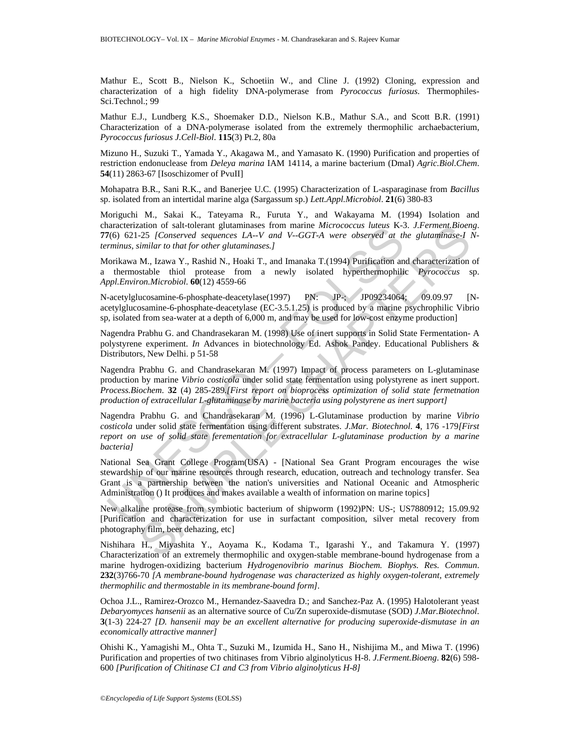Mathur E., Scott B., Nielson K., Schoetiin W., and Cline J. (1992) Cloning, expression and characterization of a high fidelity DNA-polymerase from *Pyrococcus furiosus*. Thermophiles-Sci.Technol.; 99

Mathur E.J., Lundberg K.S., Shoemaker D.D., Nielson K.B., Mathur S.A., and Scott B.R. (1991) Characterization of a DNA-polymerase isolated from the extremely thermophilic archaebacterium, *Pyrococcus furiosus J.Cell-Biol*. **115**(3) Pt.2, 80a

Mizuno H., Suzuki T., Yamada Y., Akagawa M., and Yamasato K. (1990) Purification and properties of restriction endonuclease from *Deleya marina* IAM 14114, a marine bacterium (DmaI) *Agric.Biol.Chem*. **54**(11) 2863-67 [Isoschizomer of PvuII]

Mohapatra B.R., Sani R.K., and Banerjee U.C. (1995) Characterization of L-asparaginase from *Bacillus* sp. isolated from an intertidal marine alga (Sargassum sp.) *Lett.Appl.Microbiol*. **21**(6) 380-83

Moriguchi M., Sakai K., Tateyama R., Furuta Y., and Wakayama M. (1994) Isolation and characterization of salt-tolerant glutaminases from marine *Micrococcus luteus* K-3. *J.Ferment.Bioeng*. **77**(6) 621-25 *[Conserved sequences LA--V and V--GGT-A were observed at the glutaminase-I Nterminus, similar to that for other glutaminases.]* 

Morikawa M., Izawa Y., Rashid N., Hoaki T., and Imanaka T.(1994) Purification and characterization of a thermostable thiol protease from a newly isolated hyperthermophilic *Pyrococcus* sp. *Appl.Environ.Microbiol*. **60**(12) 4559-66

N-acetylglucosamine-6-phosphate-deacetylase(1997) PN: JP-; JP09234064; 09.09.97 [Nacetylglucosamine-6-phosphate-deacetylase (EC-3.5.1.25) is produced by a marine psychrophilic Vibrio sp, isolated from sea-water at a depth of 6,000 m, and may be used for low-cost enzyme production]

Nagendra Prabhu G. and Chandrasekaran M. (1998) Use of inert supports in Solid State Fermentation- A polystyrene experiment. *In* Advances in biotechnology Ed. Ashok Pandey. Educational Publishers & Distributors, New Delhi. p 51-58

anarchierzatori of satt-otentar gutaminasses from miame *micrococcis tuelus* Kar-<br>Mo(5) 621-25 [Conserved sequences LA-V and V-GGT-A were observed at the<br>minus, similar to that for other glutaminases.]<br>
forikawa M., Izawa ation of salt-colerant glutaminass from manne *Micrococcus* litelas K-3. *J.Ferment, Bioen-<br>Least Conserved squences LA-V and V-GGT-A were observed at the glutaminasc-1<br>imilar to that for other glutaminascs.]<br>M., Izawa Y.* Nagendra Prabhu G. and Chandrasekaran M. (1997) Impact of process parameters on L-glutaminase production by marine *Vibrio costicola* under solid state fermentation using polystyrene as inert support. *Process.Biochem*. **32** (4) 285-289*.[First report on bioprocess optimization of solid state fermetnation production of extracellular L-glutaminase by marine bacteria using polystyrene as inert support]* 

Nagendra Prabhu G. and Chandrasekaran M. (1996) L-Glutaminase production by marine *Vibrio costicola* under solid state fermentation using different substrates. *J.Mar. Biotechnol*. **4**, 176 -179*[First report on use of solid state ferementation for extracellular L-glutaminase production by a marine bacteria]*

National Sea Grant College Program(USA) - [National Sea Grant Program encourages the wise stewardship of our marine resources through research, education, outreach and technology transfer. Sea Grant is a partnership between the nation's universities and National Oceanic and Atmospheric Administration () It produces and makes available a wealth of information on marine topics]

New alkaline protease from symbiotic bacterium of shipworm (1992)PN: US-; US7880912; 15.09.92 [Purification and characterization for use in surfactant composition, silver metal recovery from photography film, beer dehazing, etc]

Nishihara H., Miyashita Y., Aoyama K., Kodama T., Igarashi Y., and Takamura Y. (1997) Characterization of an extremely thermophilic and oxygen-stable membrane-bound hydrogenase from a marine hydrogen-oxidizing bacterium *Hydrogenovibrio marinus Biochem. Biophys. Res. Commun*. **232**(3)766-70 *[A membrane-bound hydrogenase was characterized as highly oxygen-tolerant, extremely thermophilic and thermostable in its membrane-bound form].* 

Ochoa J.L., Ramirez-Orozco M., Hernandez-Saavedra D.; and Sanchez-Paz A. (1995) Halotolerant yeast *Debaryomyces hansenii* as an alternative source of Cu/Zn superoxide-dismutase (SOD) *J.Mar.Biotechnol*. **3**(1-3) 224-27 *[D. hansenii may be an excellent alternative for producing superoxide-dismutase in an economically attractive manner]* 

Ohishi K., Yamagishi M., Ohta T., Suzuki M., Izumida H., Sano H., Nishijima M., and Miwa T. (1996) Purification and properties of two chitinases from Vibrio alginolyticus H-8. *J.Ferment.Bioeng*. **82**(6) 598- 600 *[Purification of Chitinase C1 and C3 from Vibrio alginolyticus H-8]*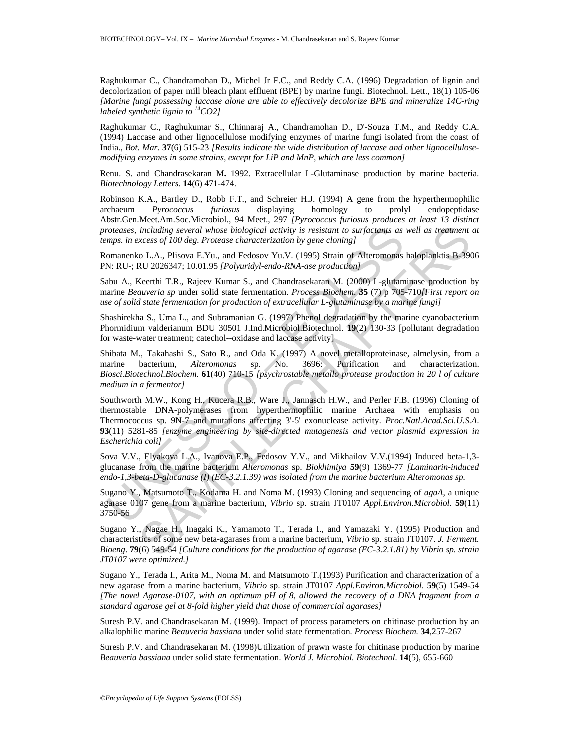Raghukumar C., Chandramohan D., Michel Jr F.C., and Reddy C.A. (1996) Degradation of lignin and decolorization of paper mill bleach plant effluent (BPE) by marine fungi. Biotechnol. Lett., 18(1) 105-06 *[Marine fungi possessing laccase alone are able to effectively decolorize BPE and mineralize 14C-ring labeled synthetic lignin to 14CO2]* 

Raghukumar C., Raghukumar S., Chinnaraj A., Chandramohan D., D'-Souza T.M., and Reddy C.A. (1994) Laccase and other lignocellulose modifying enzymes of marine fungi isolated from the coast of India., *Bot. Mar*. **37**(6) 515-23 *[Results indicate the wide distribution of laccase and other lignocellulosemodifying enzymes in some strains, except for LiP and MnP, which are less common]* 

Renu. S. and Chandrasekaran M**.** 1992. Extracellular L-Glutaminase production by marine bacteria. *Biotechnology Letters.* **14**(6) 471-474.

Robinson K.A., Bartley D., Robb F.T., and Schreier H.J. (1994) A gene from the hyperthermophilic archaeum *Pyrococcus furiosus* displaying homology to prolyl endopeptidase Abstr.Gen.Meet.Am.Soc.Microbiol., 94 Meet., 297 *[Pyrococcus furiosus produces at least 13 distinct proteases, including several whose biological activity is resistant to surfactants as well as treatment at temps. in excess of 100 deg. Protease characterization by gene cloning]* 

Romanenko L.A., Plisova E.Yu., and Fedosov Yu.V. (1995) Strain of Alteromonas haloplanktis B-3906 PN: RU-; RU 2026347; 10.01.95 *[Polyuridyl-endo-RNA-ase production]* 

Sabu A., Keerthi T.R., Rajeev Kumar S., and Chandrasekaran M. (2000) L-glutaminase production by marine *Beauveria sp* under solid state fermentation. *Process Biochem*. **35** (7) p 705-710*[First report on use of solid state fermentation for production of extracellular L-glutaminase by a marine fungi]*

Shashirekha S., Uma L., and Subramanian G. (1997) Phenol degradation by the marine cyanobacterium Phormidium valderianum BDU 30501 J.Ind.Microbiol.Biotechnol. **19**(2) 130-33 [pollutant degradation for waste-water treatment; catechol--oxidase and laccase activity]

Shibata M., Takahashi S., Sato R., and Oda K. (1997) A novel metalloproteinase, almelysin, from a marine bacterium, *Alteromonas* sp. No. 3696: Purification and characterization. *Biosci.Biotechnol.Biochem*. **61**(40) 710-15 *[psychrostable metallo protease production in 20 l of culture medium in a fermentor]* 

roteases, including several whose biological activity is resistant to surfactants as<br>mps. in excess of 100 deg. Protease characterization by gene cloning)<br>omannento L.A., Plisova E.Yu., and Fedosov Yu.V. (1995) Strain of including several whose biological activity is resistant to surfactuats as well as treatment<br>vaces of 100 deg. Protease characterization by gene cloning]<br>
SCAL, Pilsova E.Yu, and Fedosov Yu V. (1995) Strain of Alteromonas Southworth M.W., Kong H., Kucera R.B., Ware J., Jannasch H.W., and Perler F.B. (1996) Cloning of thermostable DNA-polymerases from hyperthermophilic marine Archaea with emphasis on Thermococcus sp. 9N-7 and mutations affecting 3'-5' exonuclease activity. *Proc.Natl.Acad.Sci.U.S.A*. **93**(11) 5281-85 *[enzyme engineering by site-directed mutagenesis and vector plasmid expression in Escherichia coli]* 

Sova V.V., Elyakova L.A., Ivanova E.P., Fedosov Y.V., and Mikhailov V.V.(1994) Induced beta-1,3 glucanase from the marine bacterium *Alteromonas* sp. *Biokhimiya* **59**(9) 1369-77 *[Laminarin-induced endo-1,3-beta-D-glucanase (I) (EC-3.2.1.39) was isolated from the marine bacterium Alteromonas sp.* 

Sugano Y., Matsumoto T., Kodama H. and Noma M. (1993) Cloning and sequencing of *agaA*, a unique agarase 0107 gene from a marine bacterium, *Vibrio* sp. strain JT0107 *Appl.Environ.Microbiol*. **59**(11) 3750-56

Sugano Y., Nagae H., Inagaki K., Yamamoto T., Terada I., and Yamazaki Y. (1995) Production and characteristics of some new beta-agarases from a marine bacterium, *Vibrio* sp. strain JT0107. *J. Ferment. Bioeng*. **79**(6) 549-54 *[Culture conditions for the production of agarase (EC-3.2.1.81) by Vibrio sp. strain JT0107 were optimized.]* 

Sugano Y., Terada I., Arita M., Noma M. and Matsumoto T.(1993) Purification and characterization of a new agarase from a marine bacterium, *Vibrio* sp. strain JT0107 *Appl.Environ.Microbiol*. **59**(5) 1549-54 *[The novel Agarase-0107, with an optimum pH of 8, allowed the recovery of a DNA fragment from a standard agarose gel at 8-fold higher yield that those of commercial agarases]* 

Suresh P.V. and Chandrasekaran M. (1999). Impact of process parameters on chitinase production by an alkalophilic marine *Beauveria bassiana* under solid state fermentation*. Process Biochem.* **34**,257-267

Suresh P.V. and Chandrasekaran M. (1998)Utilization of prawn waste for chitinase production by marine *Beauveria bassiana* under solid state fermentation. *World J. Microbiol. Biotechnol.* **14**(5), 655-660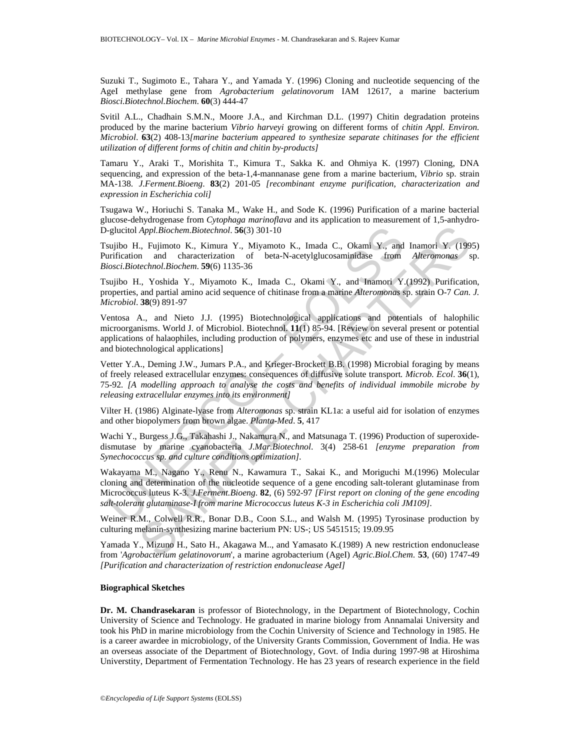Suzuki T., Sugimoto E., Tahara Y., and Yamada Y. (1996) Cloning and nucleotide sequencing of the AgeI methylase gene from *Agrobacterium gelatinovorum* IAM 12617, a marine bacterium *Biosci.Biotechnol.Biochem*. **60**(3) 444-47

Svitil A.L., Chadhain S.M.N., Moore J.A., and Kirchman D.L. (1997) Chitin degradation proteins produced by the marine bacterium *Vibrio harveyi* growing on different forms of *chitin Appl. Environ. Microbiol*. **63**(2) 408-13*[marine bacterium appeared to synthesize separate chitinases for the efficient utilization of different forms of chitin and chitin by-products]* 

Tamaru Y., Araki T., Morishita T., Kimura T., Sakka K. and Ohmiya K. (1997) Cloning, DNA sequencing, and expression of the beta-1,4-mannanase gene from a marine bacterium, *Vibrio* sp. strain MA-138. *J.Ferment.Bioeng*. **83**(2) 201-05 *[recombinant enzyme purification, characterization and expression in Escherichia coli]*

Tsugawa W., Horiuchi S. Tanaka M., Wake H., and Sode K. (1996) Purification of a marine bacterial glucose-dehydrogenase from *Cytophaga marinoflava* and its application to measurement of 1,5-anhydro-D-glucitol *Appl.Biochem.Biotechnol*. **56**(3) 301-10

Tsujibo H., Fujimoto K., Kimura Y., Miyamoto K., Imada C., Okami Y., and Inamori Y. (1995) Purification and characterization of beta-N-acetylglucosaminidase from *Alteromonas* sp. *Biosci.Biotechnol.Biochem*. **59**(6) 1135-36

Tsujibo H., Yoshida Y., Miyamoto K., Imada C., Okami Y., and Inamori Y.(1992) Purification, properties, and partial amino acid sequence of chitinase from a marine *Alteromonas* sp. strain O-7 *Can. J. Microbiol*. **38**(9) 891-97

Ventosa A., and Nieto J.J. (1995) Biotechnological applications and potentials of halophilic microorganisms. World J. of Microbiol. Biotechnol. **11**(1) 85-94. [Review on several present or potential applications of halaophiles, including production of polymers, enzymes etc and use of these in industrial and biotechnological applications]

Vetter Y.A., Deming J.W., Jumars P.A., and Krieger-Brockett B.B. (1998) Microbial foraging by means of freely released extracellular enzymes: consequences of diffusive solute transport*. Microb. Ecol*. **36**(1), 75-92*. [A modelling approach to analyse the costs and benefits of individual immobile microbe by releasing extracellular enzymes into its environment]* 

Vilter H. (1986) Alginate-lyase from *Alteromonas* sp. strain KL1a: a useful aid for isolation of enzymes and other biopolymers from brown algae. *Planta-Med*. **5**, 417

Wachi Y., Burgess J.G., Takahashi J., Nakamura N., and Matsunaga T. (1996) Production of superoxidedismutase by marine cyanobacteria *J.Mar.Biotechnol*. 3(4) 258-61 *[enzyme preparation from Synechococcus sp. and culture conditions optimization].* 

-glucitol *Appl.Biochem.Biotechnol.* 56(3) 301-10<br>sujibo H., Fujimoto K., Kimura Y., Miyamoto K., Imada C., Okami Y., and<br>nification and characterization of beta-N-acetylglucosaminidase from<br>iniciation and characterizatio Appl. Biochem.Biotechnol. **S6**(3) 301-10<br>
The morto K., Kimura Y., Miyamoto K., Imada C., Okami Y., and Inamori Y. (199<br>
n and characterization of beta-N-acetylglucosaminidase from *Alteronionas* stechnol.Biochem. **S9**(6) Wakayama M., Nagano Y., Renu N., Kawamura T., Sakai K., and Moriguchi M.(1996) Molecular cloning and determination of the nucleotide sequence of a gene encoding salt-tolerant glutaminase from Micrococcus luteus K-3. *J.Ferment.Bioeng*. **82**, (6) 592-97 *[First report on cloning of the gene encoding salt-tolerant glutaminase-I from marine Micrococcus luteus K-3 in Escherichia coli JM109].* 

Weiner R.M., Colwell R.R., Bonar D.B., Coon S.L., and Walsh M. (1995) Tyrosinase production by culturing melanin-synthesizing marine bacterium PN: US-; US 5451515; 19.09.95

Yamada Y., Mizuno H., Sato H., Akagawa M.., and Yamasato K.(1989) A new restriction endonuclease from '*Agrobacterium gelatinovorum*', a marine agrobacterium (AgeI) *Agric.Biol.Chem*. **53**, (60) 1747-49 *[Purification and characterization of restriction endonuclease AgeI]*

#### **Biographical Sketches**

**Dr. M. Chandrasekaran** is professor of Biotechnology, in the Department of Biotechnology, Cochin University of Science and Technology. He graduated in marine biology from Annamalai University and took his PhD in marine microbiology from the Cochin University of Science and Technology in 1985. He is a career awardee in microbiology, of the University Grants Commission, Government of India. He was an overseas associate of the Department of Biotechnology, Govt. of India during 1997-98 at Hiroshima Universtity, Department of Fermentation Technology. He has 23 years of research experience in the field